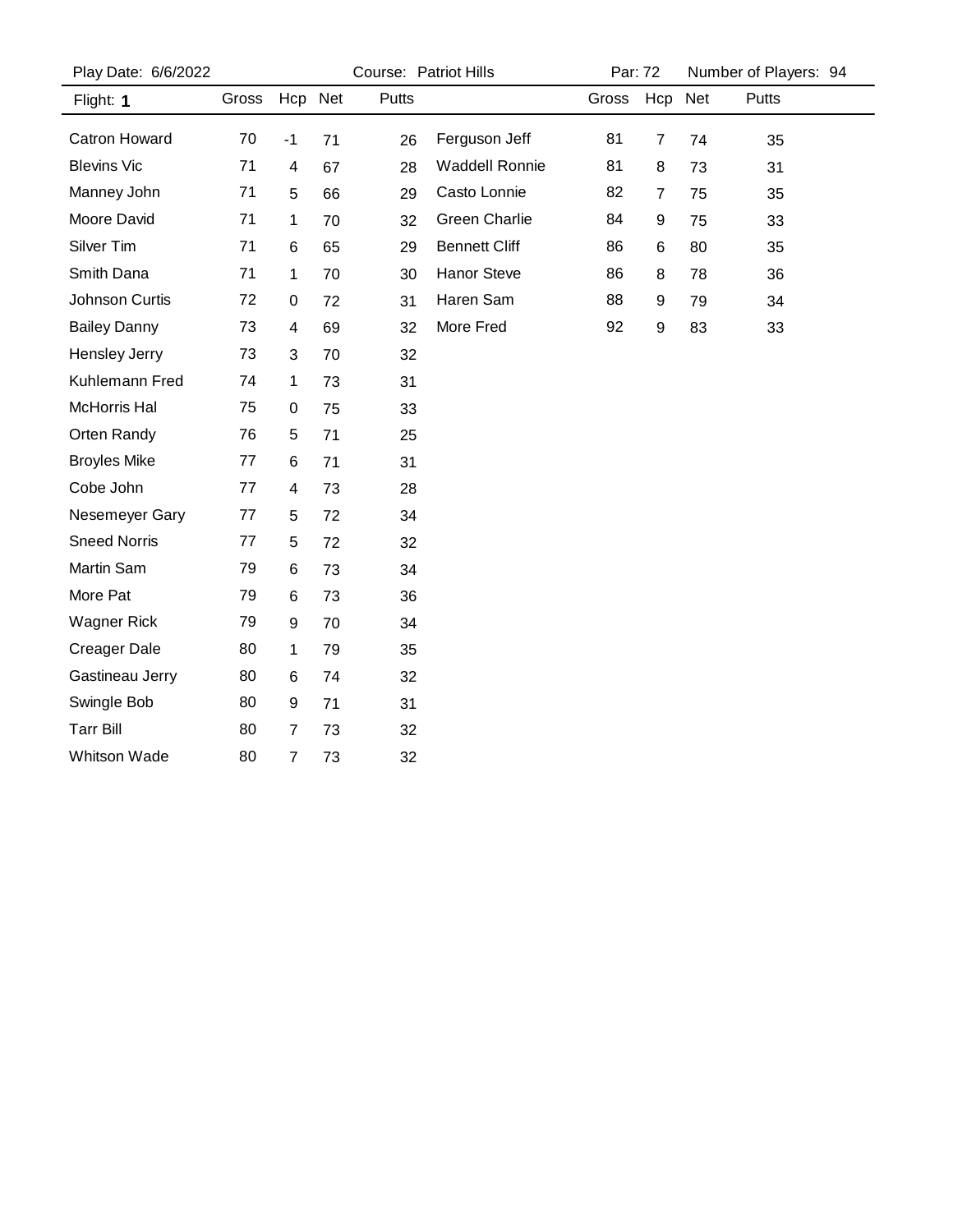| Play Date: 6/6/2022  |       | Course: Patriot Hills   |    |       | Par: 72               |       | Number of Players: 94 |    |       |  |
|----------------------|-------|-------------------------|----|-------|-----------------------|-------|-----------------------|----|-------|--|
| Flight: 1            | Gross | Hcp Net                 |    | Putts |                       | Gross | Hcp Net               |    | Putts |  |
| <b>Catron Howard</b> | 70    | $-1$                    | 71 | 26    | Ferguson Jeff         | 81    | 7                     | 74 | 35    |  |
| <b>Blevins Vic</b>   | 71    | $\overline{\mathbf{4}}$ | 67 | 28    | <b>Waddell Ronnie</b> | 81    | 8                     | 73 | 31    |  |
| Manney John          | 71    | 5                       | 66 | 29    | Casto Lonnie          | 82    | 7                     | 75 | 35    |  |
| Moore David          | 71    | 1                       | 70 | 32    | <b>Green Charlie</b>  | 84    | 9                     | 75 | 33    |  |
| Silver Tim           | 71    | 6                       | 65 | 29    | <b>Bennett Cliff</b>  | 86    | 6                     | 80 | 35    |  |
| Smith Dana           | 71    | 1                       | 70 | 30    | Hanor Steve           | 86    | 8                     | 78 | 36    |  |
| Johnson Curtis       | 72    | 0                       | 72 | 31    | Haren Sam             | 88    | 9                     | 79 | 34    |  |
| <b>Bailey Danny</b>  | 73    | 4                       | 69 | 32    | More Fred             | 92    | $\boldsymbol{9}$      | 83 | 33    |  |
| <b>Hensley Jerry</b> | 73    | 3                       | 70 | 32    |                       |       |                       |    |       |  |
| Kuhlemann Fred       | 74    | 1                       | 73 | 31    |                       |       |                       |    |       |  |
| <b>McHorris Hal</b>  | 75    | 0                       | 75 | 33    |                       |       |                       |    |       |  |
| Orten Randy          | 76    | 5                       | 71 | 25    |                       |       |                       |    |       |  |
| <b>Broyles Mike</b>  | 77    | 6                       | 71 | 31    |                       |       |                       |    |       |  |
| Cobe John            | 77    | 4                       | 73 | 28    |                       |       |                       |    |       |  |
| Nesemeyer Gary       | 77    | 5                       | 72 | 34    |                       |       |                       |    |       |  |
| <b>Sneed Norris</b>  | 77    | 5                       | 72 | 32    |                       |       |                       |    |       |  |
| Martin Sam           | 79    | 6                       | 73 | 34    |                       |       |                       |    |       |  |
| More Pat             | 79    | 6                       | 73 | 36    |                       |       |                       |    |       |  |
| <b>Wagner Rick</b>   | 79    | 9                       | 70 | 34    |                       |       |                       |    |       |  |
| <b>Creager Dale</b>  | 80    | 1                       | 79 | 35    |                       |       |                       |    |       |  |
| Gastineau Jerry      | 80    | 6                       | 74 | 32    |                       |       |                       |    |       |  |
| Swingle Bob          | 80    | 9                       | 71 | 31    |                       |       |                       |    |       |  |
| <b>Tarr Bill</b>     | 80    | 7                       | 73 | 32    |                       |       |                       |    |       |  |
| <b>Whitson Wade</b>  | 80    | 7                       | 73 | 32    |                       |       |                       |    |       |  |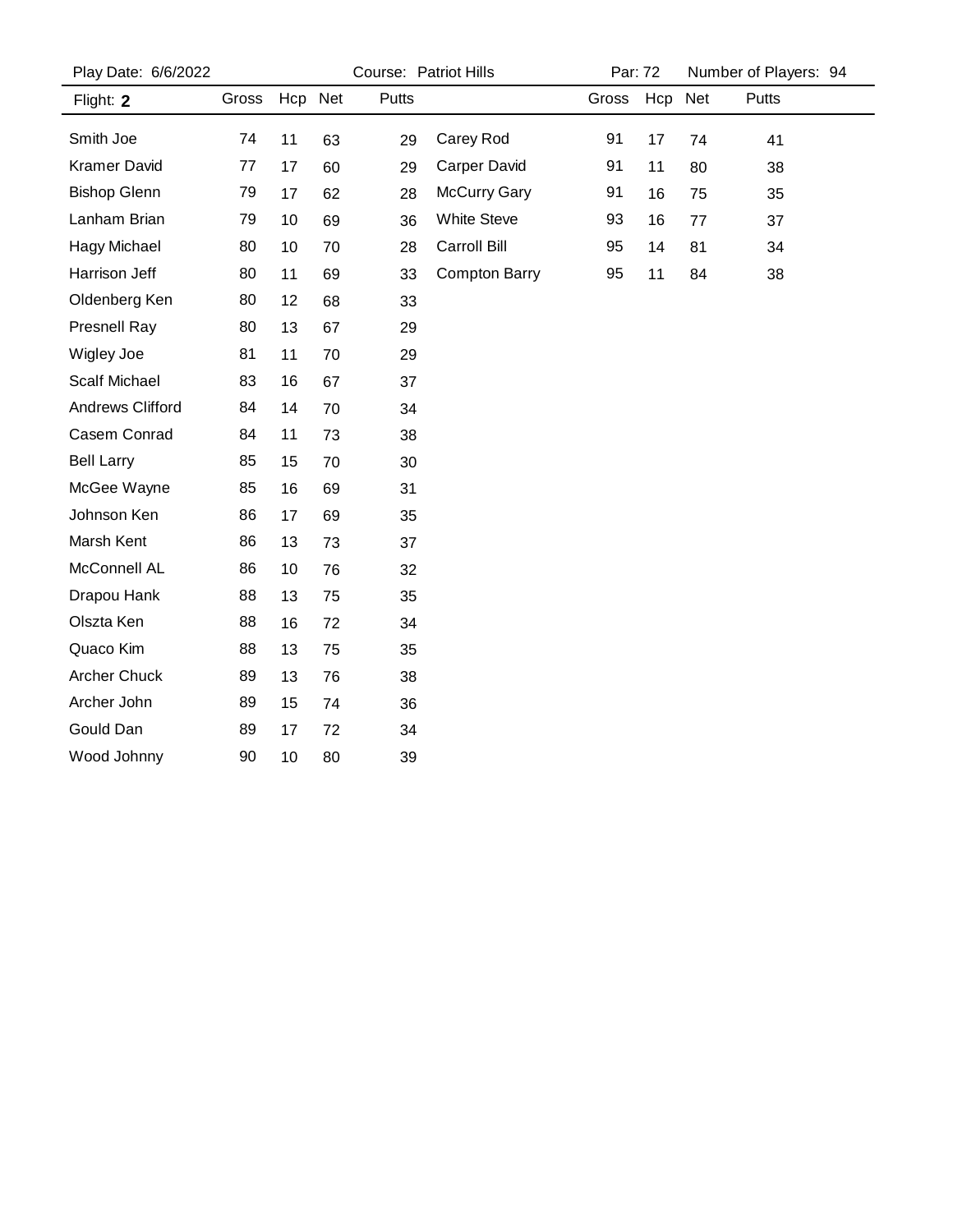| Play Date: 6/6/2022     |       | Course: Patriot Hills |    |       |                      | Par: 72 |         | Number of Players: 94 |       |
|-------------------------|-------|-----------------------|----|-------|----------------------|---------|---------|-----------------------|-------|
| Flight: 2               | Gross | Hcp Net               |    | Putts |                      | Gross   | Hcp Net |                       | Putts |
| Smith Joe               | 74    | 11                    | 63 | 29    | Carey Rod            | 91      | 17      | 74                    | 41    |
| <b>Kramer David</b>     | 77    | 17                    | 60 | 29    | <b>Carper David</b>  | 91      | 11      | 80                    | 38    |
| <b>Bishop Glenn</b>     | 79    | 17                    | 62 | 28    | McCurry Gary         | 91      | 16      | 75                    | 35    |
| Lanham Brian            | 79    | 10                    | 69 | 36    | <b>White Steve</b>   | 93      | 16      | 77                    | 37    |
| <b>Hagy Michael</b>     | 80    | 10                    | 70 | 28    | Carroll Bill         | 95      | 14      | 81                    | 34    |
| Harrison Jeff           | 80    | 11                    | 69 | 33    | <b>Compton Barry</b> | 95      | 11      | 84                    | 38    |
| Oldenberg Ken           | 80    | 12                    | 68 | 33    |                      |         |         |                       |       |
| Presnell Ray            | 80    | 13                    | 67 | 29    |                      |         |         |                       |       |
| Wigley Joe              | 81    | 11                    | 70 | 29    |                      |         |         |                       |       |
| <b>Scalf Michael</b>    | 83    | 16                    | 67 | 37    |                      |         |         |                       |       |
| <b>Andrews Clifford</b> | 84    | 14                    | 70 | 34    |                      |         |         |                       |       |
| Casem Conrad            | 84    | 11                    | 73 | 38    |                      |         |         |                       |       |
| <b>Bell Larry</b>       | 85    | 15                    | 70 | 30    |                      |         |         |                       |       |
| McGee Wayne             | 85    | 16                    | 69 | 31    |                      |         |         |                       |       |
| Johnson Ken             | 86    | 17                    | 69 | 35    |                      |         |         |                       |       |
| Marsh Kent              | 86    | 13                    | 73 | 37    |                      |         |         |                       |       |
| McConnell AL            | 86    | 10                    | 76 | 32    |                      |         |         |                       |       |
| Drapou Hank             | 88    | 13                    | 75 | 35    |                      |         |         |                       |       |
| Olszta Ken              | 88    | 16                    | 72 | 34    |                      |         |         |                       |       |
| Quaco Kim               | 88    | 13                    | 75 | 35    |                      |         |         |                       |       |
| <b>Archer Chuck</b>     | 89    | 13                    | 76 | 38    |                      |         |         |                       |       |
| Archer John             | 89    | 15                    | 74 | 36    |                      |         |         |                       |       |
| Gould Dan               | 89    | 17                    | 72 | 34    |                      |         |         |                       |       |
| Wood Johnny             | 90    | 10                    | 80 | 39    |                      |         |         |                       |       |